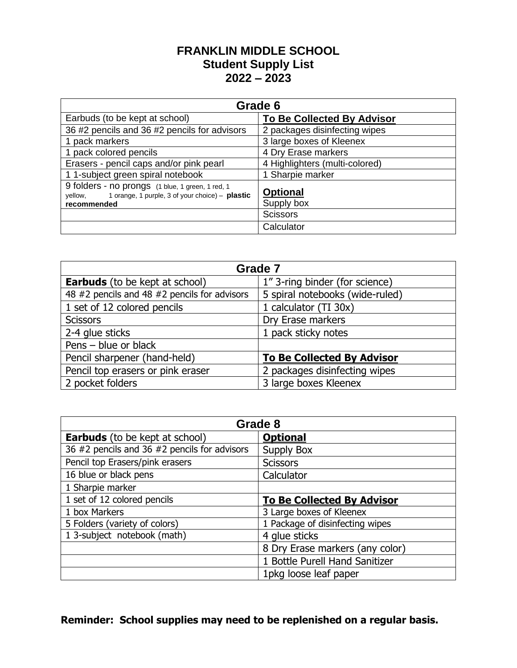# **FRANKLIN MIDDLE SCHOOL Student Supply List 2022 – 2023**

| Grade 6                                                                                                                    |                                |
|----------------------------------------------------------------------------------------------------------------------------|--------------------------------|
| Earbuds (to be kept at school)                                                                                             | To Be Collected By Advisor     |
| 36 #2 pencils and 36 #2 pencils for advisors                                                                               | 2 packages disinfecting wipes  |
| 1 pack markers                                                                                                             | 3 large boxes of Kleenex       |
| 1 pack colored pencils                                                                                                     | 4 Dry Erase markers            |
| Erasers - pencil caps and/or pink pearl                                                                                    | 4 Highlighters (multi-colored) |
| 1 1-subject green spiral notebook                                                                                          | 1 Sharpie marker               |
| 9 folders - no prongs (1 blue, 1 green, 1 red, 1<br>yellow, 1 orange, 1 purple, 3 of your choice) - plastic<br>recommended | <b>Optional</b><br>Supply box  |
|                                                                                                                            | <b>Scissors</b>                |
|                                                                                                                            | Calculator                     |

| <b>Grade 7</b>                               |                                   |
|----------------------------------------------|-----------------------------------|
| <b>Earbuds</b> (to be kept at school)        | 1" 3-ring binder (for science)    |
| 48 #2 pencils and 48 #2 pencils for advisors | 5 spiral notebooks (wide-ruled)   |
| 1 set of 12 colored pencils                  | 1 calculator (TI 30x)             |
| <b>Scissors</b>                              | Dry Erase markers                 |
| 2-4 glue sticks                              | 1 pack sticky notes               |
| Pens - blue or black                         |                                   |
| Pencil sharpener (hand-held)                 | <b>To Be Collected By Advisor</b> |
| Pencil top erasers or pink eraser            | 2 packages disinfecting wipes     |
| 2 pocket folders                             | 3 large boxes Kleenex             |

| Grade 8                                      |                                   |
|----------------------------------------------|-----------------------------------|
| <b>Earbuds</b> (to be kept at school)        | <b>Optional</b>                   |
| 36 #2 pencils and 36 #2 pencils for advisors | Supply Box                        |
| Pencil top Erasers/pink erasers              | <b>Scissors</b>                   |
| 16 blue or black pens                        | Calculator                        |
| 1 Sharpie marker                             |                                   |
| 1 set of 12 colored pencils                  | <b>To Be Collected By Advisor</b> |
| 1 box Markers                                | 3 Large boxes of Kleenex          |
| 5 Folders (variety of colors)                | 1 Package of disinfecting wipes   |
| 1 3-subject notebook (math)                  | 4 glue sticks                     |
|                                              | 8 Dry Erase markers (any color)   |
|                                              | 1 Bottle Purell Hand Sanitizer    |
|                                              | 1pkg loose leaf paper             |

# **Reminder: School supplies may need to be replenished on a regular basis.**